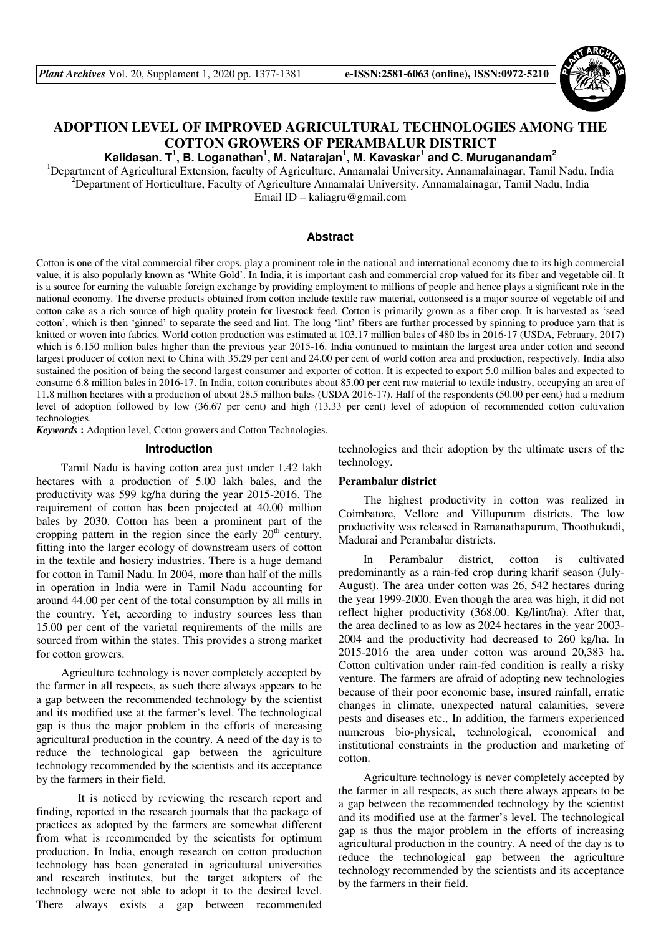

# **ADOPTION LEVEL OF IMPROVED AGRICULTURAL TECHNOLOGIES AMONG THE COTTON GROWERS OF PERAMBALUR DISTRICT**

**Kalidasan. T<sup>1</sup> , B. Loganathan<sup>1</sup> , M. Natarajan<sup>1</sup> , M. Kavaskar<sup>1</sup> and C. Muruganandam<sup>2</sup>**

<sup>1</sup>Department of Agricultural Extension, faculty of Agriculture, Annamalai University. Annamalainagar, Tamil Nadu, India <sup>2</sup>Department of Horticulture, Faculty of Agriculture Annamalai University. Annamalainagar, Tamil Nadu, India Email ID – kaliagru@gmail.com

# **Abstract**

Cotton is one of the vital commercial fiber crops, play a prominent role in the national and international economy due to its high commercial value, it is also popularly known as 'White Gold'. In India, it is important cash and commercial crop valued for its fiber and vegetable oil. It is a source for earning the valuable foreign exchange by providing employment to millions of people and hence plays a significant role in the national economy. The diverse products obtained from cotton include textile raw material, cottonseed is a major source of vegetable oil and cotton cake as a rich source of high quality protein for livestock feed. Cotton is primarily grown as a fiber crop. It is harvested as 'seed cotton', which is then 'ginned' to separate the seed and lint. The long 'lint' fibers are further processed by spinning to produce yarn that is knitted or woven into fabrics. World cotton production was estimated at 103.17 million bales of 480 lbs in 2016-17 (USDA, February, 2017) which is 6.150 million bales higher than the previous year 2015-16. India continued to maintain the largest area under cotton and second largest producer of cotton next to China with 35.29 per cent and 24.00 per cent of world cotton area and production, respectively. India also sustained the position of being the second largest consumer and exporter of cotton. It is expected to export 5.0 million bales and expected to consume 6.8 million bales in 2016-17. In India, cotton contributes about 85.00 per cent raw material to textile industry, occupying an area of 11.8 million hectares with a production of about 28.5 million bales (USDA 2016-17). Half of the respondents (50.00 per cent) had a medium level of adoption followed by low (36.67 per cent) and high (13.33 per cent) level of adoption of recommended cotton cultivation technologies.

*Keywords* **:** Adoption level, Cotton growers and Cotton Technologies.

## **Introduction**

Tamil Nadu is having cotton area just under 1.42 lakh hectares with a production of 5.00 lakh bales, and the productivity was 599 kg/ha during the year 2015-2016. The requirement of cotton has been projected at 40.00 million bales by 2030. Cotton has been a prominent part of the cropping pattern in the region since the early  $20<sup>th</sup>$  century, fitting into the larger ecology of downstream users of cotton in the textile and hosiery industries. There is a huge demand for cotton in Tamil Nadu. In 2004, more than half of the mills in operation in India were in Tamil Nadu accounting for around 44.00 per cent of the total consumption by all mills in the country. Yet, according to industry sources less than 15.00 per cent of the varietal requirements of the mills are sourced from within the states. This provides a strong market for cotton growers.

Agriculture technology is never completely accepted by the farmer in all respects, as such there always appears to be a gap between the recommended technology by the scientist and its modified use at the farmer's level. The technological gap is thus the major problem in the efforts of increasing agricultural production in the country. A need of the day is to reduce the technological gap between the agriculture technology recommended by the scientists and its acceptance by the farmers in their field.

 It is noticed by reviewing the research report and finding, reported in the research journals that the package of practices as adopted by the farmers are somewhat different from what is recommended by the scientists for optimum production. In India, enough research on cotton production technology has been generated in agricultural universities and research institutes, but the target adopters of the technology were not able to adopt it to the desired level. There always exists a gap between recommended

technologies and their adoption by the ultimate users of the technology.

# **Perambalur district**

The highest productivity in cotton was realized in Coimbatore, Vellore and Villupurum districts. The low productivity was released in Ramanathapurum, Thoothukudi, Madurai and Perambalur districts.

In Perambalur district, cotton is cultivated predominantly as a rain-fed crop during kharif season (July-August). The area under cotton was 26, 542 hectares during the year 1999-2000. Even though the area was high, it did not reflect higher productivity (368.00. Kg/lint/ha). After that, the area declined to as low as 2024 hectares in the year 2003- 2004 and the productivity had decreased to 260 kg/ha. In 2015-2016 the area under cotton was around 20,383 ha. Cotton cultivation under rain-fed condition is really a risky venture. The farmers are afraid of adopting new technologies because of their poor economic base, insured rainfall, erratic changes in climate, unexpected natural calamities, severe pests and diseases etc., In addition, the farmers experienced numerous bio-physical, technological, economical and institutional constraints in the production and marketing of cotton.

Agriculture technology is never completely accepted by the farmer in all respects, as such there always appears to be a gap between the recommended technology by the scientist and its modified use at the farmer's level. The technological gap is thus the major problem in the efforts of increasing agricultural production in the country. A need of the day is to reduce the technological gap between the agriculture technology recommended by the scientists and its acceptance by the farmers in their field.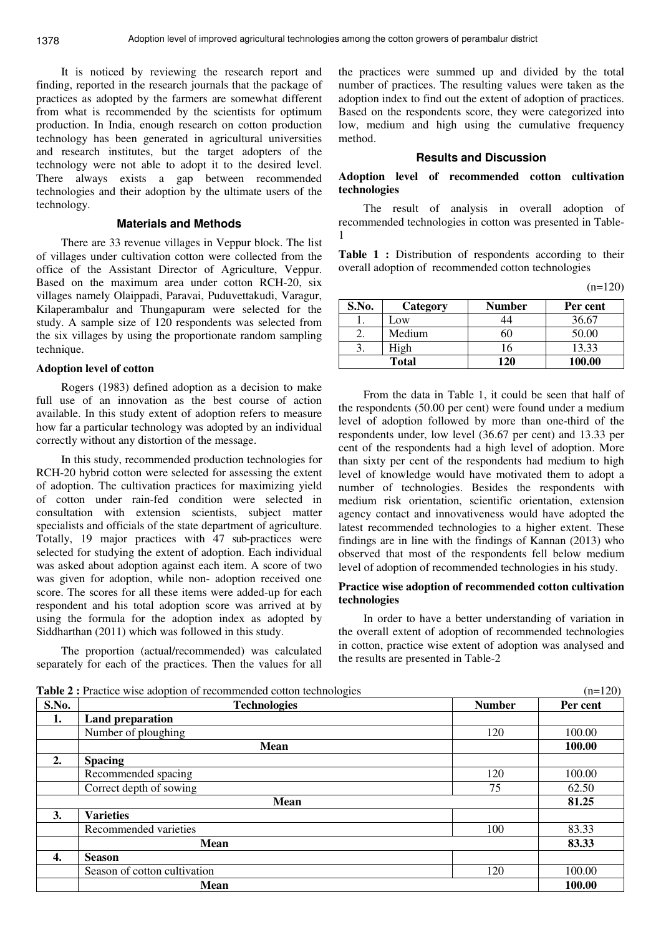It is noticed by reviewing the research report and finding, reported in the research journals that the package of practices as adopted by the farmers are somewhat different from what is recommended by the scientists for optimum production. In India, enough research on cotton production technology has been generated in agricultural universities and research institutes, but the target adopters of the technology were not able to adopt it to the desired level. There always exists a gap between recommended technologies and their adoption by the ultimate users of the technology.

# **Materials and Methods**

There are 33 revenue villages in Veppur block. The list of villages under cultivation cotton were collected from the office of the Assistant Director of Agriculture, Veppur. Based on the maximum area under cotton RCH-20, six villages namely Olaippadi, Paravai, Puduvettakudi, Varagur, Kilaperambalur and Thungapuram were selected for the study. A sample size of 120 respondents was selected from the six villages by using the proportionate random sampling technique.

#### **Adoption level of cotton**

Rogers (1983) defined adoption as a decision to make full use of an innovation as the best course of action available. In this study extent of adoption refers to measure how far a particular technology was adopted by an individual correctly without any distortion of the message.

In this study, recommended production technologies for RCH-20 hybrid cotton were selected for assessing the extent of adoption. The cultivation practices for maximizing yield of cotton under rain-fed condition were selected in consultation with extension scientists, subject matter specialists and officials of the state department of agriculture. Totally, 19 major practices with 47 sub-practices were selected for studying the extent of adoption. Each individual was asked about adoption against each item. A score of two was given for adoption, while non- adoption received one score. The scores for all these items were added-up for each respondent and his total adoption score was arrived at by using the formula for the adoption index as adopted by Siddharthan (2011) which was followed in this study.

The proportion (actual/recommended) was calculated separately for each of the practices. Then the values for all

the practices were summed up and divided by the total number of practices. The resulting values were taken as the adoption index to find out the extent of adoption of practices. Based on the respondents score, they were categorized into low, medium and high using the cumulative frequency method.

# **Results and Discussion**

# **Adoption level of recommended cotton cultivation technologies**

The result of analysis in overall adoption of recommended technologies in cotton was presented in Table-1

Table 1 : Distribution of respondents according to their overall adoption of recommended cotton technologies

 $(n=120)$ 

| S.No.        | Category      | Number | Per cent |
|--------------|---------------|--------|----------|
|              | $_{\rm{.0W}}$ |        | 36.67    |
|              | Medium        |        | 50.00    |
|              | High          | 16     | 13.33    |
| <b>Total</b> |               | 120    | 100.00   |

From the data in Table 1, it could be seen that half of the respondents (50.00 per cent) were found under a medium level of adoption followed by more than one-third of the respondents under, low level (36.67 per cent) and 13.33 per cent of the respondents had a high level of adoption. More than sixty per cent of the respondents had medium to high level of knowledge would have motivated them to adopt a number of technologies. Besides the respondents with medium risk orientation, scientific orientation, extension agency contact and innovativeness would have adopted the latest recommended technologies to a higher extent. These findings are in line with the findings of Kannan (2013) who observed that most of the respondents fell below medium level of adoption of recommended technologies in his study.

# **Practice wise adoption of recommended cotton cultivation technologies**

In order to have a better understanding of variation in the overall extent of adoption of recommended technologies in cotton, practice wise extent of adoption was analysed and the results are presented in Table-2

**Table 2** : Practice wise adoption of recommended cotton technologies (n=120)

|       | $\mathbf{r}$ and $\mathbf{r}$ is a received throughout on the commutation of the common space<br>(11.1) |               |          |
|-------|---------------------------------------------------------------------------------------------------------|---------------|----------|
| S.No. | <b>Technologies</b>                                                                                     | <b>Number</b> | Per cent |
| 1.    | <b>Land preparation</b>                                                                                 |               |          |
|       | Number of ploughing                                                                                     | 120           | 100.00   |
|       | <b>Mean</b>                                                                                             |               | 100.00   |
| 2.    | <b>Spacing</b>                                                                                          |               |          |
|       | Recommended spacing                                                                                     | 120           | 100.00   |
|       | Correct depth of sowing                                                                                 | 75            | 62.50    |
|       | <b>Mean</b>                                                                                             |               | 81.25    |
| 3.    | <b>Varieties</b>                                                                                        |               |          |
|       | Recommended varieties                                                                                   | 100           | 83.33    |
|       | <b>Mean</b>                                                                                             |               | 83.33    |
| 4.    | <b>Season</b>                                                                                           |               |          |
|       | Season of cotton cultivation                                                                            | 120           | 100.00   |
|       | <b>Mean</b>                                                                                             |               | 100.00   |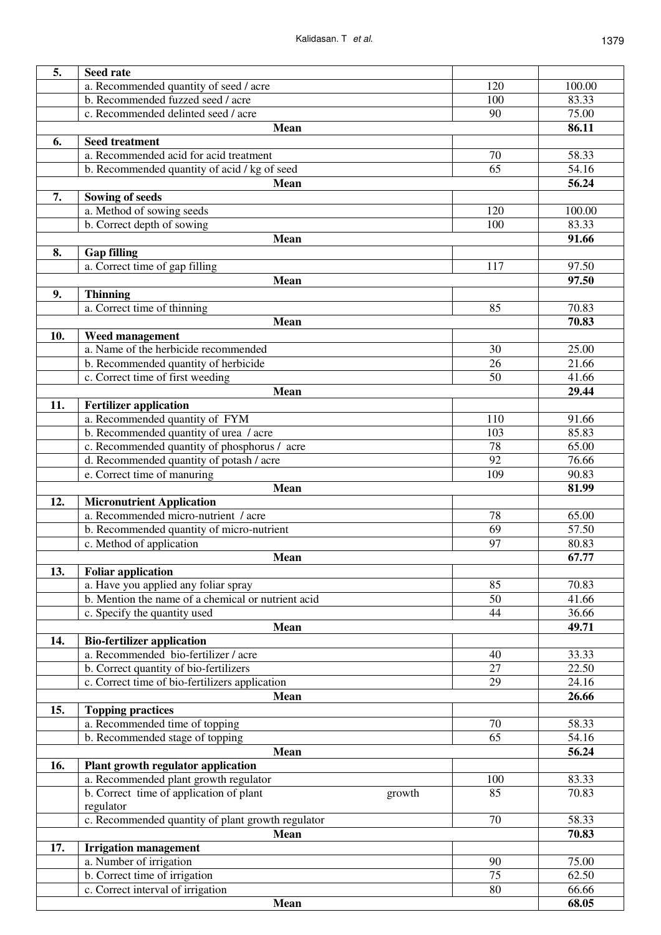| 5.   |                                                                                   |       |        |
|------|-----------------------------------------------------------------------------------|-------|--------|
|      | <b>Seed rate</b>                                                                  | 120   |        |
|      | a. Recommended quantity of seed / acre                                            |       | 100.00 |
|      | b. Recommended fuzzed seed / acre                                                 | 100   | 83.33  |
|      | c. Recommended delinted seed / acre                                               | 90    | 75.00  |
|      | <b>Mean</b>                                                                       |       | 86.11  |
| 6.   | <b>Seed treatment</b>                                                             |       |        |
|      | a. Recommended acid for acid treatment                                            | 70    | 58.33  |
|      | b. Recommended quantity of acid / kg of seed                                      | 65    | 54.16  |
|      | <b>Mean</b>                                                                       |       | 56.24  |
| 7.   | Sowing of seeds                                                                   |       |        |
|      | a. Method of sowing seeds                                                         | 120   | 100.00 |
|      | b. Correct depth of sowing                                                        | 100   | 83.33  |
|      | Mean                                                                              |       | 91.66  |
| 8.   | <b>Gap filling</b>                                                                |       |        |
|      | a. Correct time of gap filling                                                    | 117   | 97.50  |
|      | <b>Mean</b>                                                                       |       | 97.50  |
| 9.   | <b>Thinning</b>                                                                   |       |        |
|      | a. Correct time of thinning                                                       | 85    | 70.83  |
|      | Mean                                                                              |       | 70.83  |
| 10.  | Weed management                                                                   |       |        |
|      | a. Name of the herbicide recommended                                              | 30    | 25.00  |
|      | b. Recommended quantity of herbicide                                              | 26    | 21.66  |
|      | c. Correct time of first weeding                                                  | 50    | 41.66  |
|      | Mean                                                                              |       | 29.44  |
| 11.  | <b>Fertilizer application</b>                                                     |       |        |
|      | a. Recommended quantity of FYM                                                    | 110   | 91.66  |
|      | b. Recommended quantity of urea / acre                                            | 103   | 85.83  |
|      | c. Recommended quantity of phosphorus / acre                                      | 78    | 65.00  |
|      | d. Recommended quantity of potash / acre                                          | 92    | 76.66  |
|      | e. Correct time of manuring                                                       | 109   | 90.83  |
|      | <b>Mean</b>                                                                       |       | 81.99  |
| 12.  | <b>Micronutrient Application</b>                                                  |       |        |
|      | a. Recommended micro-nutrient / acre                                              | 78    | 65.00  |
|      |                                                                                   |       | 57.50  |
|      | b. Recommended quantity of micro-nutrient<br>69<br>97<br>c. Method of application |       | 80.83  |
|      |                                                                                   |       | 67.77  |
| 13.  | Mean<br><b>Foliar application</b>                                                 |       |        |
|      | a. Have you applied any foliar spray                                              | 85    | 70.83  |
|      | b. Mention the name of a chemical or nutrient acid                                | 50    | 41.66  |
|      | c. Specify the quantity used                                                      | 44    | 36.66  |
|      |                                                                                   |       | 49.71  |
|      | <b>Mean</b>                                                                       |       |        |
| 14.  | <b>Bio-fertilizer application</b><br>a. Recommended bio-fertilizer / acre         | 40    |        |
|      |                                                                                   |       | 33.33  |
|      | b. Correct quantity of bio-fertilizers                                            | 27    | 22.50  |
|      | c. Correct time of bio-fertilizers application                                    | 29    | 24.16  |
|      | <b>Mean</b>                                                                       |       | 26.66  |
| 15.  | <b>Topping practices</b>                                                          |       |        |
|      | a. Recommended time of topping                                                    | 70    | 58.33  |
|      | b. Recommended stage of topping                                                   | 65    | 54.16  |
|      | <b>Mean</b>                                                                       |       | 56.24  |
| 16.  | Plant growth regulator application                                                |       |        |
|      | a. Recommended plant growth regulator                                             | 100   | 83.33  |
|      | b. Correct time of application of plant<br>growth                                 | 85    | 70.83  |
|      | regulator                                                                         |       | 58.33  |
|      | c. Recommended quantity of plant growth regulator<br>70                           |       |        |
| Mean |                                                                                   | 70.83 |        |
| 17.  | <b>Irrigation management</b>                                                      |       |        |
|      | a. Number of irrigation                                                           | 90    | 75.00  |
|      | b. Correct time of irrigation                                                     | 75    | 62.50  |
|      | c. Correct interval of irrigation                                                 | 80    | 66.66  |
|      | <b>Mean</b>                                                                       |       | 68.05  |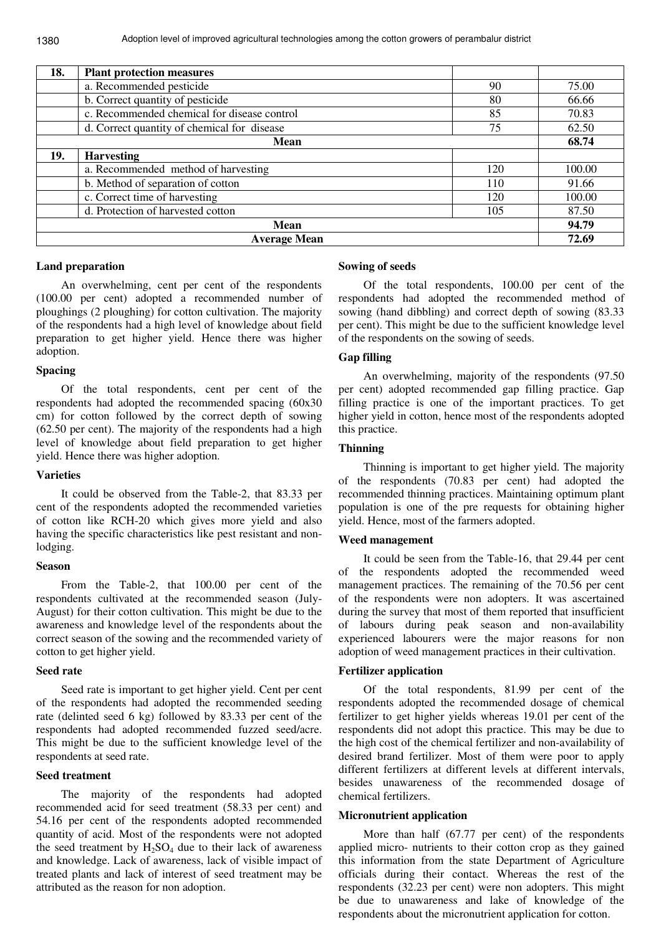| 18.                 | <b>Plant protection measures</b>            |     |        |
|---------------------|---------------------------------------------|-----|--------|
|                     | a. Recommended pesticide                    | 90  | 75.00  |
|                     | b. Correct quantity of pesticide            | 80  | 66.66  |
|                     | c. Recommended chemical for disease control | 85  | 70.83  |
|                     | d. Correct quantity of chemical for disease | 75  | 62.50  |
| Mean                |                                             |     | 68.74  |
| 19.                 | <b>Harvesting</b>                           |     |        |
|                     | a. Recommended method of harvesting         | 120 | 100.00 |
|                     | b. Method of separation of cotton           | 110 | 91.66  |
|                     | c. Correct time of harvesting               | 120 | 100.00 |
|                     | d. Protection of harvested cotton           | 105 | 87.50  |
| <b>Mean</b>         |                                             |     | 94.79  |
| <b>Average Mean</b> |                                             |     | 72.69  |

#### **Land preparation**

An overwhelming, cent per cent of the respondents (100.00 per cent) adopted a recommended number of ploughings (2 ploughing) for cotton cultivation. The majority of the respondents had a high level of knowledge about field preparation to get higher yield. Hence there was higher adoption.

# **Spacing**

Of the total respondents, cent per cent of the respondents had adopted the recommended spacing (60x30 cm) for cotton followed by the correct depth of sowing (62.50 per cent). The majority of the respondents had a high level of knowledge about field preparation to get higher yield. Hence there was higher adoption.

# **Varieties**

It could be observed from the Table-2, that 83.33 per cent of the respondents adopted the recommended varieties of cotton like RCH-20 which gives more yield and also having the specific characteristics like pest resistant and nonlodging.

# **Season**

From the Table-2, that 100.00 per cent of the respondents cultivated at the recommended season (July-August) for their cotton cultivation. This might be due to the awareness and knowledge level of the respondents about the correct season of the sowing and the recommended variety of cotton to get higher yield.

# **Seed rate**

Seed rate is important to get higher yield. Cent per cent of the respondents had adopted the recommended seeding rate (delinted seed 6 kg) followed by 83.33 per cent of the respondents had adopted recommended fuzzed seed/acre. This might be due to the sufficient knowledge level of the respondents at seed rate.

#### **Seed treatment**

The majority of the respondents had adopted recommended acid for seed treatment (58.33 per cent) and 54.16 per cent of the respondents adopted recommended quantity of acid. Most of the respondents were not adopted the seed treatment by  $H_2SO_4$  due to their lack of awareness and knowledge. Lack of awareness, lack of visible impact of treated plants and lack of interest of seed treatment may be attributed as the reason for non adoption.

#### **Sowing of seeds**

Of the total respondents, 100.00 per cent of the respondents had adopted the recommended method of sowing (hand dibbling) and correct depth of sowing (83.33 per cent). This might be due to the sufficient knowledge level of the respondents on the sowing of seeds.

# **Gap filling**

An overwhelming, majority of the respondents (97.50 per cent) adopted recommended gap filling practice. Gap filling practice is one of the important practices. To get higher yield in cotton, hence most of the respondents adopted this practice.

# **Thinning**

Thinning is important to get higher yield. The majority of the respondents (70.83 per cent) had adopted the recommended thinning practices. Maintaining optimum plant population is one of the pre requests for obtaining higher yield. Hence, most of the farmers adopted.

# **Weed management**

It could be seen from the Table-16, that 29.44 per cent of the respondents adopted the recommended weed management practices. The remaining of the 70.56 per cent of the respondents were non adopters. It was ascertained during the survey that most of them reported that insufficient of labours during peak season and non-availability experienced labourers were the major reasons for non adoption of weed management practices in their cultivation.

# **Fertilizer application**

Of the total respondents, 81.99 per cent of the respondents adopted the recommended dosage of chemical fertilizer to get higher yields whereas 19.01 per cent of the respondents did not adopt this practice. This may be due to the high cost of the chemical fertilizer and non-availability of desired brand fertilizer. Most of them were poor to apply different fertilizers at different levels at different intervals, besides unawareness of the recommended dosage of chemical fertilizers.

# **Micronutrient application**

More than half (67.77 per cent) of the respondents applied micro- nutrients to their cotton crop as they gained this information from the state Department of Agriculture officials during their contact. Whereas the rest of the respondents (32.23 per cent) were non adopters. This might be due to unawareness and lake of knowledge of the respondents about the micronutrient application for cotton.